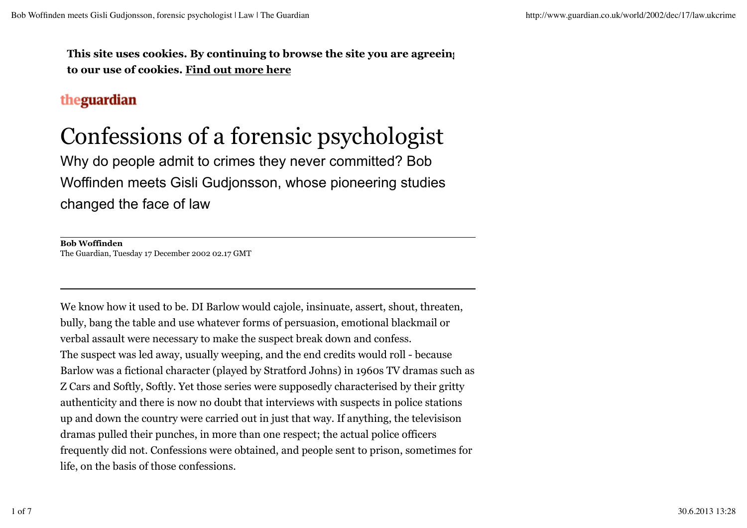**This site uses cookies. By continuing to browse the site you are agreeing to our use of cookies. Find out more here**

## theguardian

## Confessions of a forensic psychologist

Why do people admit to crimes they never committed? Bob Woffinden meets Gisli Gudjonsson, whose pioneering studies changed the face of law

**Bob Woffinden** The Guardian, Tuesday 17 December 2002 02.17 GMT

We know how it used to be. DI Barlow would cajole, insinuate, assert, shout, threaten, bully, bang the table and use whatever forms of persuasion, emotional blackmail or verbal assault were necessary to make the suspect break down and confess. The suspect was led away, usually weeping, and the end credits would roll - because Barlow was a fictional character (played by Stratford Johns) in 1960s TV dramas such as Z Cars and Softly, Softly. Yet those series were supposedly characterised by their gritty authenticity and there is now no doubt that interviews with suspects in police stations up and down the country were carried out in just that way. If anything, the televisison dramas pulled their punches, in more than one respect; the actual police officers frequently did not. Confessions were obtained, and people sent to prison, sometimes for life, on the basis of those confessions.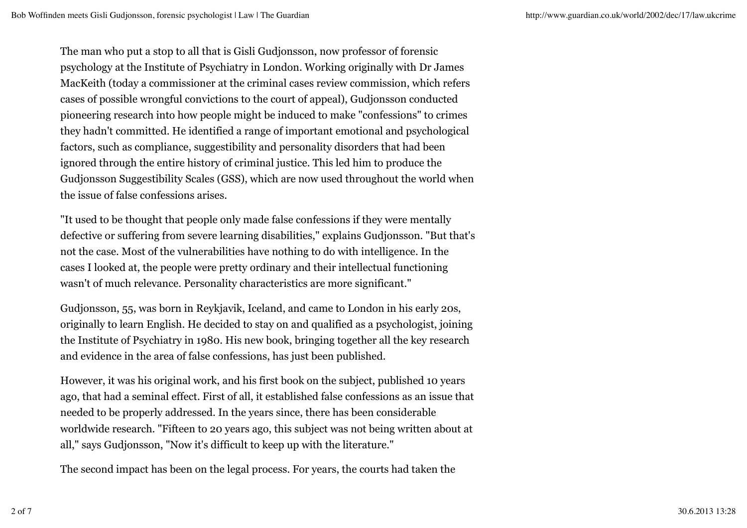The man who put a stop to all that is Gisli Gudjonsson, now professor of forensic psychology at the Institute of Psychiatry in London. Working originally with Dr James MacKeith (today a commissioner at the criminal cases review commission, which refers cases of possible wrongful convictions to the court of appeal), Gudjonsson conducted pioneering research into how people might be induced to make "confessions" to crimes they hadn't committed. He identified a range of important emotional and psychological factors, such as compliance, suggestibility and personality disorders that had been ignored through the entire history of criminal justice. This led him to produce the Gudjonsson Suggestibility Scales (GSS), which are now used throughout the world when the issue of false confessions arises.

"It used to be thought that people only made false confessions if they were mentally defective or suffering from severe learning disabilities," explains Gudjonsson. "But that's not the case. Most of the vulnerabilities have nothing to do with intelligence. In the cases I looked at, the people were pretty ordinary and their intellectual functioning wasn't of much relevance. Personality characteristics are more significant."

Gudjonsson, 55, was born in Reykjavik, Iceland, and came to London in his early 20s, originally to learn English. He decided to stay on and qualified as a psychologist, joining the Institute of Psychiatry in 1980. His new book, bringing together all the key research and evidence in the area of false confessions, has just been published.

However, it was his original work, and his first book on the subject, published 10 years ago, that had a seminal effect. First of all, it established false confessions as an issue that needed to be properly addressed. In the years since, there has been considerable worldwide research. "Fifteen to 20 years ago, this subject was not being written about at all," says Gudjonsson, "Now it's difficult to keep up with the literature."

The second impact has been on the legal process. For years, the courts had taken the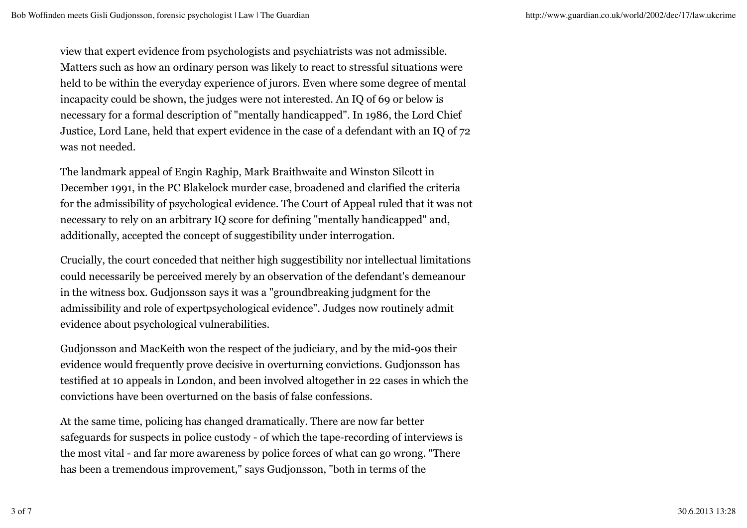view that expert evidence from psychologists and psychiatrists was not admissible. Matters such as how an ordinary person was likely to react to stressful situations were held to be within the everyday experience of jurors. Even where some degree of mental incapacity could be shown, the judges were not interested. An IQ of 69 or below is necessary for a formal description of "mentally handicapped". In 1986, the Lord Chief Justice, Lord Lane, held that expert evidence in the case of a defendant with an IQ of 72 was not needed.

The landmark appeal of Engin Raghip, Mark Braithwaite and Winston Silcott in December 1991, in the PC Blakelock murder case, broadened and clarified the criteria for the admissibility of psychological evidence. The Court of Appeal ruled that it was not necessary to rely on an arbitrary IQ score for defining "mentally handicapped" and, additionally, accepted the concept of suggestibility under interrogation.

Crucially, the court conceded that neither high suggestibility nor intellectual limitations could necessarily be perceived merely by an observation of the defendant's demeanour in the witness box. Gudjonsson says it was a "groundbreaking judgment for the admissibility and role of expertpsychological evidence". Judges now routinely admit evidence about psychological vulnerabilities.

Gudjonsson and MacKeith won the respect of the judiciary, and by the mid-90s their evidence would frequently prove decisive in overturning convictions. Gudjonsson has testified at 10 appeals in London, and been involved altogether in 22 cases in which the convictions have been overturned on the basis of false confessions.

At the same time, policing has changed dramatically. There are now far better safeguards for suspects in police custody - of which the tape-recording of interviews is the most vital - and far more awareness by police forces of what can go wrong. "There has been a tremendous improvement," says Gudjonsson, "both in terms of the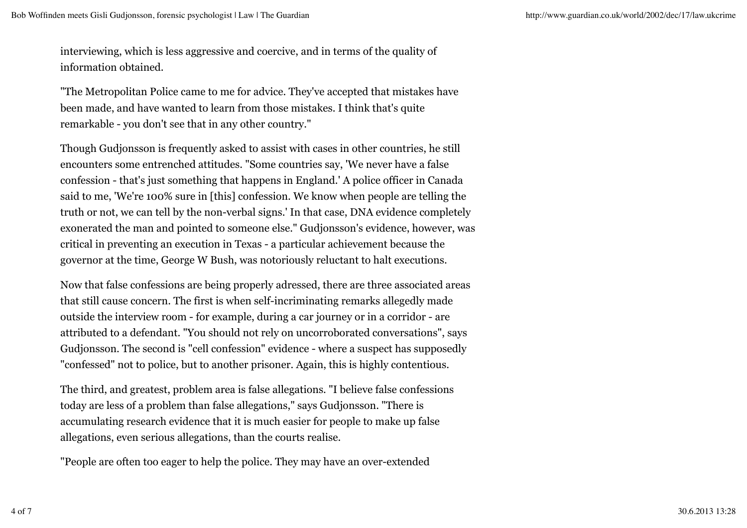interviewing, which is less aggressive and coercive, and in terms of the quality of information obtained.

"The Metropolitan Police came to me for advice. They've accepted that mistakes have been made, and have wanted to learn from those mistakes. I think that's quite remarkable - you don't see that in any other country."

Though Gudjonsson is frequently asked to assist with cases in other countries, he still encounters some entrenched attitudes. "Some countries say, 'We never have a false confession - that's just something that happens in England.' A police officer in Canada said to me, 'We're 100% sure in [this] confession. We know when people are telling the truth or not, we can tell by the non-verbal signs.' In that case, DNA evidence completely exonerated the man and pointed to someone else." Gudjonsson's evidence, however, was critical in preventing an execution in Texas - a particular achievement because the governor at the time, George W Bush, was notoriously reluctant to halt executions.

Now that false confessions are being properly adressed, there are three associated areas that still cause concern. The first is when self-incriminating remarks allegedly made outside the interview room - for example, during a car journey or in a corridor - are attributed to a defendant. "You should not rely on uncorroborated conversations", says Gudjonsson. The second is "cell confession" evidence - where a suspect has supposedly "confessed" not to police, but to another prisoner. Again, this is highly contentious.

The third, and greatest, problem area is false allegations. "I believe false confessions today are less of a problem than false allegations," says Gudjonsson. "There is accumulating research evidence that it is much easier for people to make up false allegations, even serious allegations, than the courts realise.

"People are often too eager to help the police. They may have an over-extended